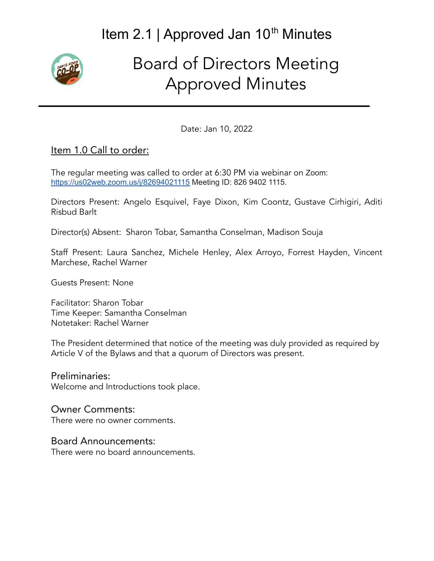# Item 2.1 | Approved Jan 10<sup>th</sup> Minutes



# Board of Directors Meeting Approved Minutes

Date: Jan 10, 2022

#### Item 1.0 Call to order:

The regular meeting was called to order at 6:30 PM via webinar on Zoom: <https://us02web.zoom.us/j/82694021115> Meeting ID: 826 9402 1115.

Directors Present: Angelo Esquivel, Faye Dixon, Kim Coontz, Gustave Cirhigiri, Aditi Risbud Barlt

Director(s) Absent: Sharon Tobar, Samantha Conselman, Madison Souja

Staff Present: Laura Sanchez, Michele Henley, Alex Arroyo, Forrest Hayden, Vincent Marchese, Rachel Warner

Guests Present: None

Facilitator: Sharon Tobar Time Keeper: Samantha Conselman Notetaker: Rachel Warner

The President determined that notice of the meeting was duly provided as required by Article V of the Bylaws and that a quorum of Directors was present.

Preliminaries: Welcome and Introductions took place.

## Owner Comments:

There were no owner comments.

#### Board Announcements:

There were no board announcements.